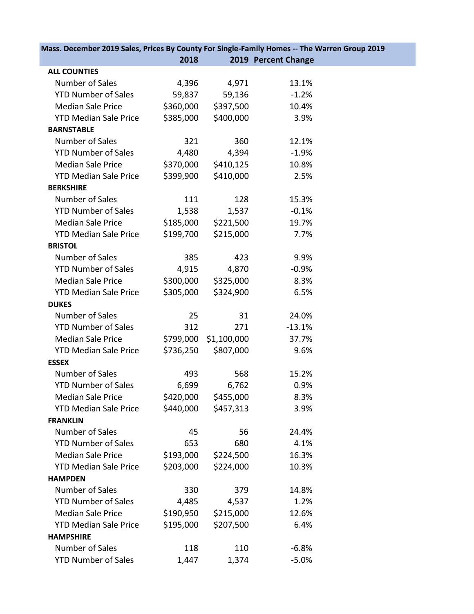| Mass. December 2019 Sales, Prices By County For Single-Family Homes -- The Warren Group 2019 |           |             |                     |  |
|----------------------------------------------------------------------------------------------|-----------|-------------|---------------------|--|
|                                                                                              | 2018      |             | 2019 Percent Change |  |
| <b>ALL COUNTIES</b>                                                                          |           |             |                     |  |
| Number of Sales                                                                              | 4,396     | 4,971       | 13.1%               |  |
| <b>YTD Number of Sales</b>                                                                   | 59,837    | 59,136      | $-1.2%$             |  |
| <b>Median Sale Price</b>                                                                     | \$360,000 | \$397,500   | 10.4%               |  |
| <b>YTD Median Sale Price</b>                                                                 | \$385,000 | \$400,000   | 3.9%                |  |
| <b>BARNSTABLE</b>                                                                            |           |             |                     |  |
| Number of Sales                                                                              | 321       | 360         | 12.1%               |  |
| <b>YTD Number of Sales</b>                                                                   | 4,480     | 4,394       | $-1.9%$             |  |
| <b>Median Sale Price</b>                                                                     | \$370,000 | \$410,125   | 10.8%               |  |
| <b>YTD Median Sale Price</b>                                                                 | \$399,900 | \$410,000   | 2.5%                |  |
| <b>BERKSHIRE</b>                                                                             |           |             |                     |  |
| Number of Sales                                                                              | 111       | 128         | 15.3%               |  |
| <b>YTD Number of Sales</b>                                                                   | 1,538     | 1,537       | $-0.1%$             |  |
| <b>Median Sale Price</b>                                                                     | \$185,000 | \$221,500   | 19.7%               |  |
| <b>YTD Median Sale Price</b>                                                                 | \$199,700 | \$215,000   | 7.7%                |  |
| <b>BRISTOL</b>                                                                               |           |             |                     |  |
| Number of Sales                                                                              | 385       | 423         | 9.9%                |  |
| <b>YTD Number of Sales</b>                                                                   | 4,915     | 4,870       | $-0.9%$             |  |
| <b>Median Sale Price</b>                                                                     | \$300,000 | \$325,000   | 8.3%                |  |
| <b>YTD Median Sale Price</b>                                                                 | \$305,000 | \$324,900   | 6.5%                |  |
| <b>DUKES</b>                                                                                 |           |             |                     |  |
| Number of Sales                                                                              | 25        | 31          | 24.0%               |  |
| <b>YTD Number of Sales</b>                                                                   | 312       | 271         | $-13.1%$            |  |
| <b>Median Sale Price</b>                                                                     | \$799,000 | \$1,100,000 | 37.7%               |  |
| <b>YTD Median Sale Price</b>                                                                 | \$736,250 | \$807,000   | 9.6%                |  |
| <b>ESSEX</b>                                                                                 |           |             |                     |  |
| Number of Sales                                                                              | 493       | 568         | 15.2%               |  |
| <b>YTD Number of Sales</b>                                                                   | 6,699     | 6,762       | 0.9%                |  |
| <b>Median Sale Price</b>                                                                     | \$420,000 | \$455,000   | 8.3%                |  |
| <b>YTD Median Sale Price</b>                                                                 | \$440,000 | \$457,313   | 3.9%                |  |
| <b>FRANKLIN</b>                                                                              |           |             |                     |  |
| Number of Sales                                                                              | 45        | 56          | 24.4%               |  |
| <b>YTD Number of Sales</b>                                                                   | 653       | 680         | 4.1%                |  |
| <b>Median Sale Price</b>                                                                     | \$193,000 | \$224,500   | 16.3%               |  |
| <b>YTD Median Sale Price</b>                                                                 | \$203,000 | \$224,000   | 10.3%               |  |
| <b>HAMPDEN</b>                                                                               |           |             |                     |  |
| Number of Sales                                                                              | 330       | 379         | 14.8%               |  |
| <b>YTD Number of Sales</b>                                                                   | 4,485     | 4,537       | 1.2%                |  |
| <b>Median Sale Price</b>                                                                     | \$190,950 | \$215,000   | 12.6%               |  |
| <b>YTD Median Sale Price</b>                                                                 | \$195,000 | \$207,500   | 6.4%                |  |
| <b>HAMPSHIRE</b>                                                                             |           |             |                     |  |
| Number of Sales                                                                              | 118       | 110         | $-6.8%$             |  |
| <b>YTD Number of Sales</b>                                                                   | 1,447     | 1,374       | $-5.0%$             |  |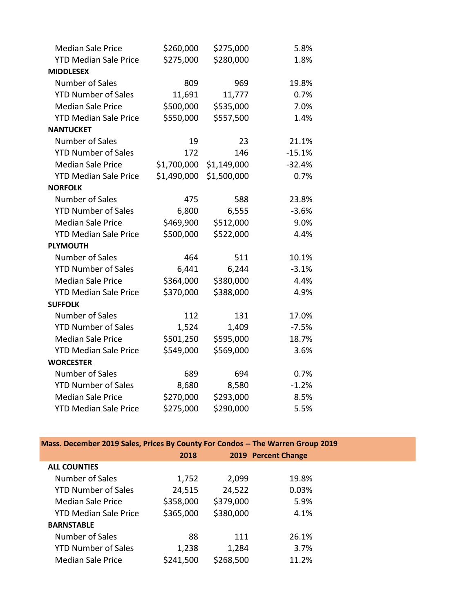| <b>Median Sale Price</b>     | \$260,000   | \$275,000   | 5.8%     |
|------------------------------|-------------|-------------|----------|
| <b>YTD Median Sale Price</b> | \$275,000   | \$280,000   | 1.8%     |
| <b>MIDDLESEX</b>             |             |             |          |
| <b>Number of Sales</b>       | 809         | 969         | 19.8%    |
| <b>YTD Number of Sales</b>   | 11,691      | 11,777      | 0.7%     |
| <b>Median Sale Price</b>     | \$500,000   | \$535,000   | 7.0%     |
| <b>YTD Median Sale Price</b> | \$550,000   | \$557,500   | 1.4%     |
| <b>NANTUCKET</b>             |             |             |          |
| Number of Sales              | 19          | 23          | 21.1%    |
| <b>YTD Number of Sales</b>   | 172         | 146         | $-15.1%$ |
| <b>Median Sale Price</b>     | \$1,700,000 | \$1,149,000 | $-32.4%$ |
| <b>YTD Median Sale Price</b> | \$1,490,000 | \$1,500,000 | 0.7%     |
| <b>NORFOLK</b>               |             |             |          |
| Number of Sales              | 475         | 588         | 23.8%    |
| <b>YTD Number of Sales</b>   | 6,800       | 6,555       | $-3.6%$  |
| <b>Median Sale Price</b>     | \$469,900   | \$512,000   | 9.0%     |
| <b>YTD Median Sale Price</b> | \$500,000   | \$522,000   | 4.4%     |
| <b>PLYMOUTH</b>              |             |             |          |
| <b>Number of Sales</b>       | 464         | 511         | 10.1%    |
| <b>YTD Number of Sales</b>   | 6,441       | 6,244       | $-3.1%$  |
| <b>Median Sale Price</b>     | \$364,000   | \$380,000   | 4.4%     |
| <b>YTD Median Sale Price</b> | \$370,000   | \$388,000   | 4.9%     |
| <b>SUFFOLK</b>               |             |             |          |
| Number of Sales              | 112         | 131         | 17.0%    |
| <b>YTD Number of Sales</b>   | 1,524       | 1,409       | $-7.5%$  |
| <b>Median Sale Price</b>     | \$501,250   | \$595,000   | 18.7%    |
| <b>YTD Median Sale Price</b> | \$549,000   | \$569,000   | 3.6%     |
| <b>WORCESTER</b>             |             |             |          |
| Number of Sales              | 689         | 694         | 0.7%     |
| <b>YTD Number of Sales</b>   | 8,680       | 8,580       | $-1.2%$  |
| <b>Median Sale Price</b>     | \$270,000   | \$293,000   | 8.5%     |
| <b>YTD Median Sale Price</b> | \$275,000   | \$290,000   | 5.5%     |

## **Mass. December 2019 Sales, Prices By County For Condos -- The Warren Group 2019**

|                              | 2018      |           | 2019 Percent Change |  |
|------------------------------|-----------|-----------|---------------------|--|
| <b>ALL COUNTIES</b>          |           |           |                     |  |
| Number of Sales              | 1,752     | 2,099     | 19.8%               |  |
| <b>YTD Number of Sales</b>   | 24,515    | 24,522    | 0.03%               |  |
| <b>Median Sale Price</b>     | \$358,000 | \$379,000 | 5.9%                |  |
| <b>YTD Median Sale Price</b> | \$365,000 | \$380,000 | 4.1%                |  |
| <b>BARNSTABLE</b>            |           |           |                     |  |
| Number of Sales              | 88        | 111       | 26.1%               |  |
| <b>YTD Number of Sales</b>   | 1,238     | 1,284     | 3.7%                |  |
| <b>Median Sale Price</b>     | \$241,500 | \$268,500 | 11.2%               |  |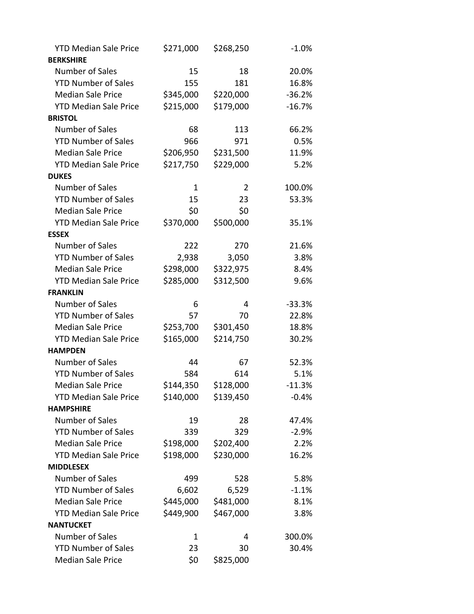| <b>YTD Median Sale Price</b> | \$271,000 | \$268,250 | $-1.0%$  |
|------------------------------|-----------|-----------|----------|
| <b>BERKSHIRE</b>             |           |           |          |
| <b>Number of Sales</b>       | 15        | 18        | 20.0%    |
| <b>YTD Number of Sales</b>   | 155       | 181       | 16.8%    |
| <b>Median Sale Price</b>     | \$345,000 | \$220,000 | $-36.2%$ |
| <b>YTD Median Sale Price</b> | \$215,000 | \$179,000 | $-16.7%$ |
| <b>BRISTOL</b>               |           |           |          |
| Number of Sales              | 68        | 113       | 66.2%    |
| <b>YTD Number of Sales</b>   | 966       | 971       | 0.5%     |
| <b>Median Sale Price</b>     | \$206,950 | \$231,500 | 11.9%    |
| <b>YTD Median Sale Price</b> | \$217,750 | \$229,000 | 5.2%     |
| <b>DUKES</b>                 |           |           |          |
| Number of Sales              | 1         | 2         | 100.0%   |
| <b>YTD Number of Sales</b>   | 15        | 23        | 53.3%    |
| <b>Median Sale Price</b>     | \$0       | \$0       |          |
| <b>YTD Median Sale Price</b> | \$370,000 | \$500,000 | 35.1%    |
| <b>ESSEX</b>                 |           |           |          |
| Number of Sales              | 222       | 270       | 21.6%    |
| <b>YTD Number of Sales</b>   | 2,938     | 3,050     | 3.8%     |
| <b>Median Sale Price</b>     | \$298,000 | \$322,975 | 8.4%     |
| <b>YTD Median Sale Price</b> | \$285,000 | \$312,500 | 9.6%     |
| <b>FRANKLIN</b>              |           |           |          |
| <b>Number of Sales</b>       | 6         | 4         | $-33.3%$ |
| <b>YTD Number of Sales</b>   | 57        | 70        | 22.8%    |
| <b>Median Sale Price</b>     | \$253,700 | \$301,450 | 18.8%    |
| <b>YTD Median Sale Price</b> | \$165,000 | \$214,750 | 30.2%    |
| <b>HAMPDEN</b>               |           |           |          |
| Number of Sales              | 44        | 67        | 52.3%    |
| <b>YTD Number of Sales</b>   | 584       | 614       | 5.1%     |
| <b>Median Sale Price</b>     | \$144,350 | \$128,000 | $-11.3%$ |
| <b>YTD Median Sale Price</b> | \$140,000 | \$139,450 | $-0.4%$  |
| <b>HAMPSHIRE</b>             |           |           |          |
| <b>Number of Sales</b>       | 19        | 28        | 47.4%    |
| <b>YTD Number of Sales</b>   | 339       | 329       | $-2.9%$  |
| <b>Median Sale Price</b>     | \$198,000 | \$202,400 | 2.2%     |
| <b>YTD Median Sale Price</b> | \$198,000 | \$230,000 | 16.2%    |
| <b>MIDDLESEX</b>             |           |           |          |
| Number of Sales              | 499       | 528       | 5.8%     |
| <b>YTD Number of Sales</b>   | 6,602     | 6,529     | $-1.1%$  |
| <b>Median Sale Price</b>     | \$445,000 | \$481,000 | 8.1%     |
| <b>YTD Median Sale Price</b> | \$449,900 | \$467,000 | 3.8%     |
| <b>NANTUCKET</b>             |           |           |          |
| Number of Sales              | 1         | 4         | 300.0%   |
| <b>YTD Number of Sales</b>   | 23        | 30        | 30.4%    |
| <b>Median Sale Price</b>     | \$0       | \$825,000 |          |